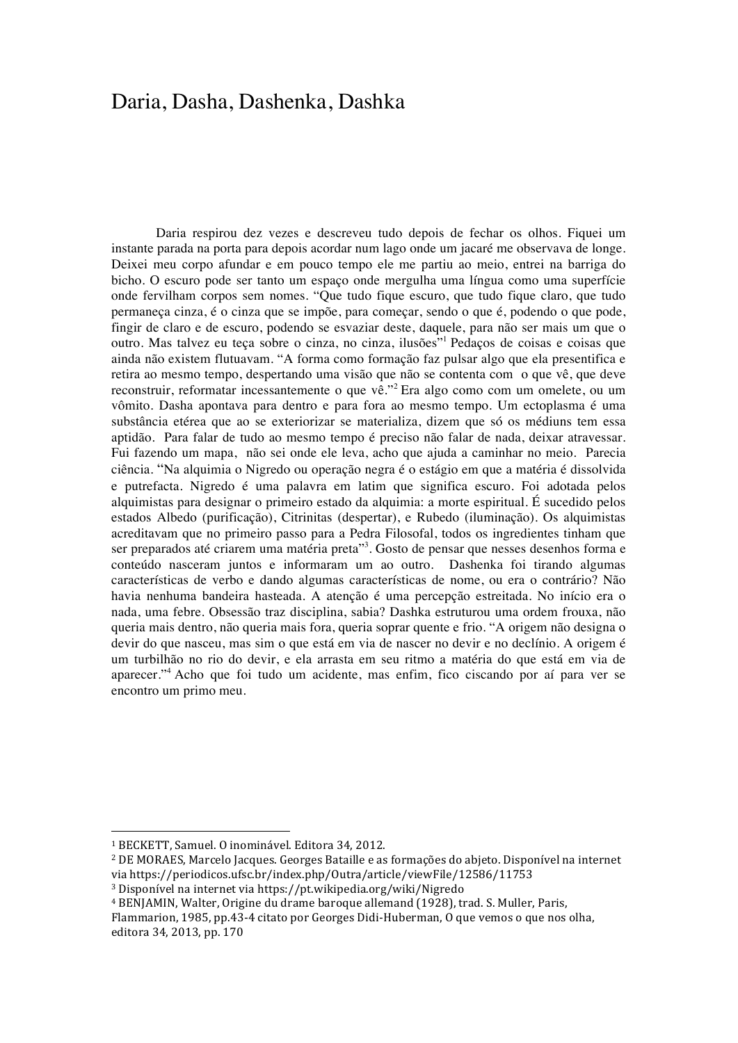## Daria, Dasha, Dashenka, Dashka

Daria respirou dez vezes e descreveu tudo depois de fechar os olhos. Fiquei um instante parada na porta para depois acordar num lago onde um jacaré me observava de longe. Deixei meu corpo afundar e em pouco tempo ele me partiu ao meio, entrei na barriga do bicho. O escuro pode ser tanto um espaço onde mergulha uma língua como uma superfície onde fervilham corpos sem nomes. "Que tudo fique escuro, que tudo fique claro, que tudo permaneça cinza, é o cinza que se impõe, para começar, sendo o que é, podendo o que pode, fingir de claro e de escuro, podendo se esvaziar deste, daquele, para não ser mais um que o outro. Mas talvez eu teça sobre o cinza, no cinza, ilusões"<sup>1</sup> Pedaços de coisas e coisas que ainda não existem flutuavam. "A forma como formação faz pulsar algo que ela presentifica e retira ao mesmo tempo, despertando uma visão que não se contenta com o que vê, que deve reconstruir, reformatar incessantemente o que vê."<sup>2</sup> Era algo como com um omelete, ou um vômito. Dasha apontava para dentro e para fora ao mesmo tempo. Um ectoplasma é uma substância etérea que ao se exteriorizar se materializa, dizem que só os médiuns tem essa aptidão. Para falar de tudo ao mesmo tempo é preciso não falar de nada, deixar atravessar. Fui fazendo um mapa, não sei onde ele leva, acho que ajuda a caminhar no meio. Parecia ciência. "Na alquimia o Nigredo ou operação negra é o estágio em que a matéria é dissolvida e putrefacta. Nigredo é uma palavra em latim que significa escuro. Foi adotada pelos alquimistas para designar o primeiro estado da alquimia: a morte espiritual. É sucedido pelos estados Albedo (purificação), Citrinitas (despertar), e Rubedo (iluminação). Os alquimistas acreditavam que no primeiro passo para a Pedra Filosofal, todos os ingredientes tinham que ser preparados até criarem uma matéria preta"<sup>3</sup>. Gosto de pensar que nesses desenhos forma e conteúdo nasceram juntos e informaram um ao outro. Dashenka foi tirando algumas características de verbo e dando algumas características de nome, ou era o contrário? Não havia nenhuma bandeira hasteada. A atenção é uma percepção estreitada. No início era o nada, uma febre. Obsessão traz disciplina, sabia? Dashka estruturou uma ordem frouxa, não queria mais dentro, não queria mais fora, queria soprar quente e frio. "A origem não designa o devir do que nasceu, mas sim o que está em via de nascer no devir e no declínio. A origem é um turbilhão no rio do devir, e ela arrasta em seu ritmo a matéria do que está em via de aparecer."<sup>4</sup> Acho que foi tudo um acidente, mas enfim, fico ciscando por aí para ver se encontro um primo meu.

 

<sup>&</sup>lt;sup>1</sup> BECKETT, Samuel. O inominável. Editora 34, 2012.

<sup>&</sup>lt;sup>2</sup> DE MORAES, Marcelo Jacques. Georges Bataille e as formações do abjeto. Disponível na internet via https://periodicos.ufsc.br/index.php/Outra/article/viewFile/12586/11753

<sup>&</sup>lt;sup>3</sup> Disponível na internet via https://pt.wikipedia.org/wiki/Nigredo

<sup>&</sup>lt;sup>4</sup> BENJAMIN, Walter, Origine du drame baroque allemand (1928), trad. S. Muller, Paris,

Flammarion, 1985, pp.43-4 citato por Georges Didi-Huberman, O que vemos o que nos olha, editora 34, 2013, pp. 170